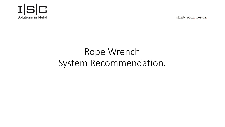

climb. work. rescue.

# Rope Wrench System Recommendation.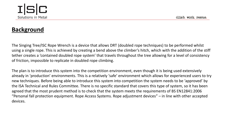

### **Background**

The Singing Tree/ISC Rope Wrench is a device that allows DRT (doubled rope techniques) to be performed whilst using a single rope. This is achieved by creating a bend above the climber's hitch, which with the addition of the stiff tether creates a 'contained doubled rope system' that travels throughout the tree allowing for a level of consistency of friction, impossible to replicate in doubled rope climbing.

The plan is to introduce this system into the competition environment, even though it is being used extensively already in 'production' environments. This is a relatively 'safe' environment which allows for experienced users to try new techniques. Before being able to introduce this system into competition the system needs to be 'approved' by the ISA Technical and Rules Committee. There is no specific standard that covers this type of system, so it has been agreed that the most prudent method is to check that the system meets the requirements of BS EN12841:2006 "Personal fall protection equipment. Rope Access Systems. Rope adjustment devices" – in line with other accepted devices.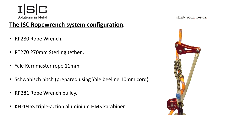climb, work, rescue.

### **The ISC Ropewrench system configuration**.

- RP280 Rope Wrench.
- RT270 270mm Sterling tether .
- Yale Kernmaster rope 11mm
- Schwabisch hitch (prepared using Yale beeline 10mm cord)
- RP281 Rope Wrench pulley.
- KH204SS triple-action aluminium HMS karabiner.

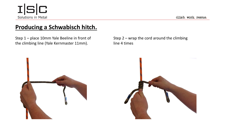### **Producing a Schwabisch hitch.**

Step 1 – place 10mm Yale Beeline in front of the climbing line (Yale Kernmaster 11mm).

Step 2 – wrap the cord around the climbing line 4 times

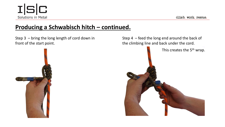### **Producing a Schwabisch hitch – continued.**

Step 3 – bring the long length of cord down in front of the start point.



 $I|S|C$ 

Solutions in Metal

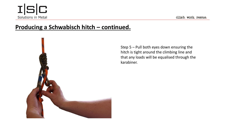

### **Producing a Schwabisch hitch – continued.**



Step 5 – Pull both eyes down ensuring the hitch is tight around the climbing line and that any loads will be equalised through the karabiner.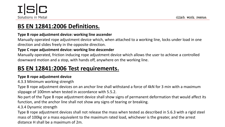### **BS EN 12841:2006 Definitions.**

#### **Type B rope adjustment device: working line ascender**

Manually operated rope adjustment device which, when attached to a working line, locks under load in one direction and slides freely in the opposite direction.

#### **Type C rope adjustment device: working line descender**

Manually operated, friction inducing rope adjustment device which allows the user to achieve a controlled downward motion and a stop, with hands off, anywhere on the working line.

### **BS EN 12841:2006 Test requirements.**

#### **Type B rope adjustment device**

#### 4.3.3 Minimum working strength

Type B rope adjustment devices on an anchor line shall withstand a force of 4kN for 3 min with a maximum slippage of 100mm when tested in accordance with 5.5.2.

No part of the Type B rope adjustment device shall show signs of permanent deformation that would affect its function, and the anchor line shall not show any signs of tearing or breaking.

4.3.4 Dynamic strength

Type B rope adjustment devices shall not release the mass when tested as described in 5.6.3 with a rigid steel mass of 100kg or a mass equivalent to the maximum rated load, whichever is the greater, and the arrest distance H shall be a maximum of 2m.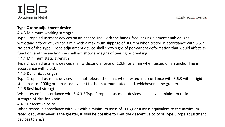

#### **Type C rope adjustment device**

4.4.3 Minimum working strength

Type C rope adjustment devices on an anchor line, with the hands-free locking element enabled, shall withstand a force of 3kN for 3 min with a maximum slippage of 300mm when tested in accordance with 5.5.2 No part of the Type C rope adjustment device shall show signs of permanent deformation that would affect its function, and the anchor line shall not show any signs of tearing or breaking.

4.4.4 Minimum static strength

Type C rope adjustment devices shall withstand a force of 12kN for 3 min when tested on an anchor line in accordance with 5.5.3.

4.4.5 Dynamic strength

Type C rope adjustment devices shall not release the mass when tested in accordance with 5.6.3 with a rigid steel mass of 100kg or a mass equivalent to the maximum rated load, whichever is the greater.

4.4.6 Residual strength

When tested in accordance with 5.6.3.5 Type C rope adjustment devices shall have a minimum residual strength of 3kN for 3 min.

4.4.7 Descent velocity

When tested in accordance with 5.7 with a minimum mass of 100kg or a mass equivalent to the maximum rated load, whichever is the greater, it shall be possible to limit the descent velocity of Type C rope adjustment devices to 2m/s.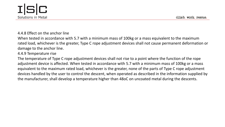

#### 4.4.8 Effect on the anchor line

When tested in accordance with 5.7 with a minimum mass of 100kg or a mass equivalent to the maximum rated load, whichever is the greater, Type C rope adjustment devices shall not cause permanent deformation or damage to the anchor line.

#### 4.4.9 Temperature rise

The temperature of Type C rope adjustment devices shall not rise to a point where the function of the rope adjustment device is affected. When tested in accordance with 5.7 with a minimum mass of 100kg or a mass equivalent to the maximum rated load, whichever is the greater, none of the parts of Type C rope adjustment devices handled by the user to control the descent, when operated as described in the information supplied by the manufacturer, shall develop a temperature higher than 48oC on uncoated metal during the descents.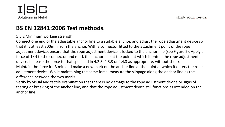

### **BS EN 12841:2006 Test methods.**

#### 5.5.2 Minimum working strength

Connect one end of the adjustable anchor line to a suitable anchor, and adjust the rope adjustment device so that it is at least 300mm from the anchor. With a connector fitted to the attachment point of the rope adjustment device, ensure that the rope adjustment device is locked to the anchor line (see Figure 2). Apply a force of 1kN to the connector and mark the anchor line at the point at which it enters the rope adjustment device. Increase the force to that specified in 4.2.3, 4.3.3 or 4.4.3 as appropriate, without shock. Maintain the force for 3 min and make a new mark on the anchor line at the point at which it enters the rope adjustment device. While maintaining the same force, measure the slippage along the anchor line as the difference between the two marks.

Verify by visual and tactile examination that there is no damage to the rope adjustment device or signs of tearing or breaking of the anchor line, and that the rope adjustment device still functions as intended on the anchor line.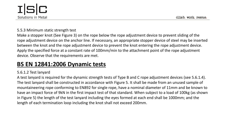

#### 5.5.3 Minimum static strength test

Make a stopper knot (See Figure 3) on the rope below the rope adjustment device to prevent sliding of the rope adjustment device on the anchor line. If necessary, an appropriate stopper device of steel may be inserted between the knot and the rope adjustment device to prevent the knot entering the rope adjustment device. Apply the specified force at a constant rate of 100mm/min to the attachment point of the rope adjustment device. Observe that the requirements are met.

### **BS EN 12841:2006 Dynamic tests**

#### 5.6.1.2 Test lanyard

A test lanyard is required for the dynamic strength tests of Type B and C rope adjustment devices (see 5.6.1.4). The test lanyard shall be constructed in accordance with Figure 5. It shall be made from an unused sample of mountaineering rope conforming to EN892 for single rope, have a nominal diameter of 11mm and be known to have an impact force of 9kN in the first impact test of that standard. When subject to a load of 100kg (as shown in Figure 5) the length of the test lanyard including the eyes formed at each end shall be 1000mm; and the length of each termination loop including the knot shall not exceed 200mm.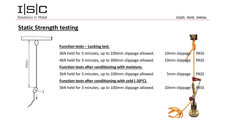300min.

### **Static Strength testing**

#### **Function tests – Locking test.**

3kN held for 3 minutes, up to 100mm slippage allowed. 10mm slippage PASS 4kN held for 3 minutes, up to 300mm slippage allowed. 10mm slippage PASS **Function tests after conditioning with moisture.** 3kN held for 3 minutes, up to 100mm slippage allowed. 5mm slippage PASS **Function tests after conditioning with cold (-20<sup>o</sup>C).** 3kN held for 3 minutes, up to 100mm slippage allowed. 10mm slippage **PASS** 

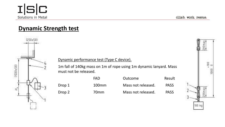### **Dynamic Strength test**



#### Dynamic performance test (Type C device).

1m fall of 140kg mass on 1m of rope using 1m dynamic lanyard. Mass must not be released.

|        | FAD.             | Outcome            | Result      |
|--------|------------------|--------------------|-------------|
| Drop 1 | $100$ mm         | Mass not released. | <b>PASS</b> |
| Drop 2 | 70 <sub>mm</sub> | Mass not released. | <b>PASS</b> |